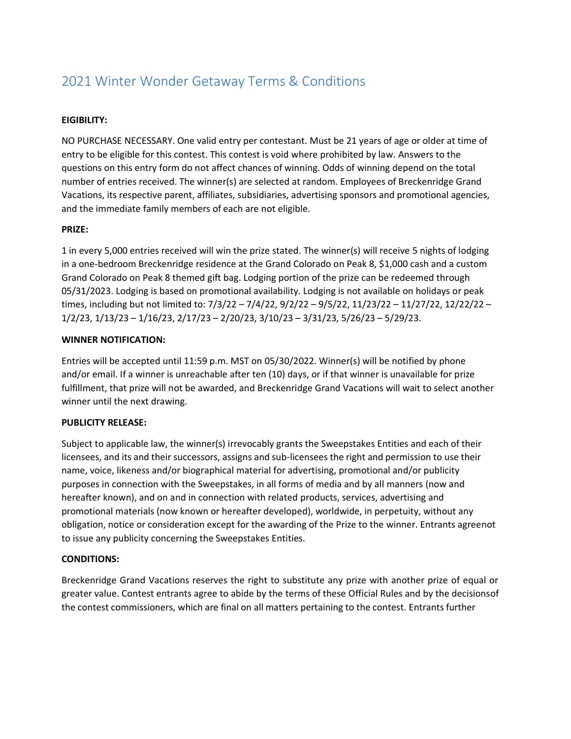# 2021 Winter Wonder Getaway Terms & Conditions

## **EIGIBILITY:**

NO PURCHASE NECESSARY. One valid entry per contestant. Must be 21 years of age or older at time of entry to be eligible for this contest. This contest is void where prohibited by law. Answers to the questions on this entry form do not affect chances of winning. Odds of winning depend on the total number of entries received. The winner(s) are selected at random. Employees of Breckenridge Grand Vacations, its respective parent, affiliates, subsidiaries, advertising sponsors and promotional agencies, and the immediate family members of each are not eligible.

### **PRIZE:**

1 in every 5,000 entries received will win the prize stated. The winner(s) will receive 5 nights of lodging in a one-bedroom Breckenridge residence at the Grand Colorado on Peak 8, \$1,000 cash and a custom Grand Colorado on Peak 8 themed gift bag. Lodging portion of the prize can be redeemed through 05/31/2023. Lodging is based on promotional availability. Lodging is not available on holidays or peak times, including but not limited to: 7/3/22 – 7/4/22, 9/2/22 – 9/5/22, 11/23/22 – 11/27/22, 12/22/22 – 1/2/23, 1/13/23 – 1/16/23, 2/17/23 – 2/20/23, 3/10/23 – 3/31/23, 5/26/23 – 5/29/23.

#### **WINNER NOTIFICATION:**

Entries will be accepted until 11:59 p.m. MST on 05/30/2022. Winner(s) will be notified by phone and/or email. If a winner is unreachable after ten (10) days, or if that winner is unavailable for prize fulfillment, that prize will not be awarded, and Breckenridge Grand Vacations will wait to select another winner until the next drawing.

#### **PUBLICITY RELEASE:**

Subject to applicable law, the winner(s) irrevocably grants the Sweepstakes Entities and each of their licensees, and its and their successors, assigns and sub-licensees the right and permission to use their name, voice, likeness and/or biographical material for advertising, promotional and/or publicity purposes in connection with the Sweepstakes, in all forms of media and by all manners (now and hereafter known), and on and in connection with related products, services, advertising and promotional materials (now known or hereafter developed), worldwide, in perpetuity, without any obligation, notice or consideration except for the awarding of the Prize to the winner. Entrants agreenot to issue any publicity concerning the Sweepstakes Entities.

#### **CONDITIONS:**

Breckenridge Grand Vacations reserves the right to substitute any prize with another prize of equal or greater value. Contest entrants agree to abide by the terms of these Official Rules and by the decisionsof the contest commissioners, which are final on all matters pertaining to the contest. Entrants further